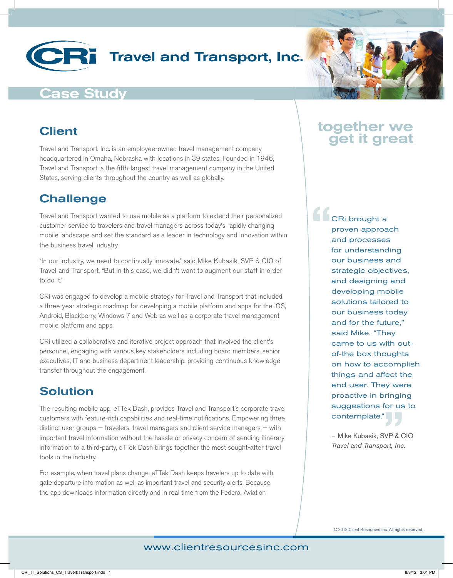# Travel and Transport, Inc.

### Case Study

#### Client

Travel and Transport, Inc. is an employee-owned travel management company headquartered in Omaha, Nebraska with locations in 39 states. Founded in 1946, Travel and Transport is the fifth-largest travel management company in the United States, serving clients throughout the country as well as globally.

#### **Challenge**

Travel and Transport wanted to use mobile as a platform to extend their personalized customer service to travelers and travel managers across today's rapidly changing mobile landscape and set the standard as a leader in technology and innovation within the business travel industry.

"In our industry, we need to continually innovate," said Mike Kubasik, SVP & CIO of Travel and Transport, "But in this case, we didn't want to augment our staff in order to do it."

CRi was engaged to develop a mobile strategy for Travel and Transport that included a three-year strategic roadmap for developing a mobile platform and apps for the iOS, Android, Blackberry, Windows 7 and Web as well as a corporate travel management mobile platform and apps.

CRi utilized a collaborative and iterative project approach that involved the client's personnel, engaging with various key stakeholders including board members, senior executives, IT and business department leadership, providing continuous knowledge transfer throughout the engagement.

#### Solution

The resulting mobile app, eTTek Dash, provides Travel and Transport's corporate travel customers with feature-rich capabilities and real-time notifications. Empowering three distinct user groups — travelers, travel managers and client service managers — with important travel information without the hassle or privacy concern of sending itinerary information to a third-party, eTTek Dash brings together the most sought-after travel tools in the industry.

For example, when travel plans change, eTTek Dash keeps travelers up to date with gate departure information as well as important travel and security alerts. Because the app downloads information directly and in real time from the Federal Aviation

## together we get it great

CRi brought a proven approach and processes for understanding our business and strategic objectives, and designing and developing mobile solutions tailored to our business today and for the future," said Mike. "They came to us with outof-the box thoughts on how to accomplish things and affect the end user. They were proactive in bringing suggestions for us to contemplate." **"**

— Mike Kubasik, SVP & CIO **Contemplate."**<br> *Travel and Transport, Inc.* 

© 2012 Client Resources Inc. All rights reserved.

www.clientresourcesinc.com